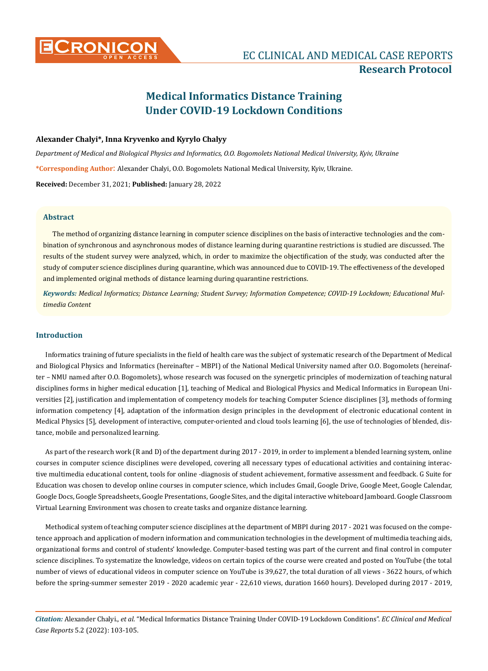# **CRONICON EC CLINICAL AND MEDICAL CASE REPORTS Research Protocol**

## **Medical Informatics Distance Training Under COVID-19 Lockdown Conditions**

#### **Alexander Chalyi\*, Inna Kryvenko and Kyrylo Chalyy**

*Department of Medical and Biological Physics and Informatics, O.O. Bogomolets National Medical University, Kyiv, Ukraine* **\*Corresponding Author**: Alexander Chalyi, O.O. Bogomolets National Medical University, Kyiv, Ukraine.

**Received:** December 31, 2021; **Published:** January 28, 2022

#### **Abstract**

The method of organizing distance learning in computer science disciplines on the basis of interactive technologies and the combination of synchronous and asynchronous modes of distance learning during quarantine restrictions is studied are discussed. The results of the student survey were analyzed, which, in order to maximize the objectification of the study, was conducted after the study of computer science disciplines during quarantine, which was announced due to COVID-19. The effectiveness of the developed and implemented original methods of distance learning during quarantine restrictions.

*Keywords: Medical Informatics; Distance Learning; Student Survey; Information Competence; COVID-19 Lockdown; Еducational Multimedia Content*

#### **Introduction**

Informatics training of future specialists in the field of health care was the subject of systematic research of the Department of Medical and Biological Physics and Informatics (hereinafter – MBPI) of the National Medical University named after O.O. Bogomolets (hereinafter – NMU named after O.O. Bogomolets), whose research was focused on the synergetic principles of modernization of teaching natural disciplines forms in higher medical education [1], teaching of Medical and Biological Physics and Medical Informatics in European Universities [2], justification and implementation of competency models for teaching Computer Science disciplines [3], methods of forming information competency [4], adaptation of the information design principles in the development of electronic educational content in Medical Physics [5], development of interactive, computer-oriented and cloud tools learning [6], the use of technologies of blended, distance, mobile and personalized learning.

As part of the research work (R and D) of the department during 2017 - 2019, in order to implement a blended learning system, online courses in computer science disciplines were developed, covering all necessary types of educational activities and containing interactive multimedia educational content, tools for online -diagnosis of student achievement, formative assessment and feedback. G Suite for Education was chosen to develop online courses in computer science, which includes Gmail, Google Drive, Google Meet, Google Calendar, Google Docs, Google Spreadsheets, Google Presentations, Google Sites, and the digital interactive whiteboard Jamboard. Google Classroom Virtual Learning Environment was chosen to create tasks and organize distance learning.

Methodical system of teaching computer science disciplines at the department of MBPI during 2017 - 2021 was focused on the competence approach and application of modern information and communication technologies in the development of multimedia teaching aids, organizational forms and control of students' knowledge. Computer-based testing was part of the current and final control in computer science disciplines. To systematize the knowledge, videos on certain topics of the course were created and posted on YouTube (the total number of views of educational videos in computer science on YouTube is 39,627, the total duration of all views - 3622 hours, of which before the spring-summer semester 2019 - 2020 academic year - 22,610 views, duration 1660 hours). Developed during 2017 - 2019,

*Citation:* Alexander Chalyi., *et al*. "Medical Informatics Distance Training Under COVID-19 Lockdown Conditions". *EC Clinical and Medical Case Reports* 5.2 (2022): 103-105.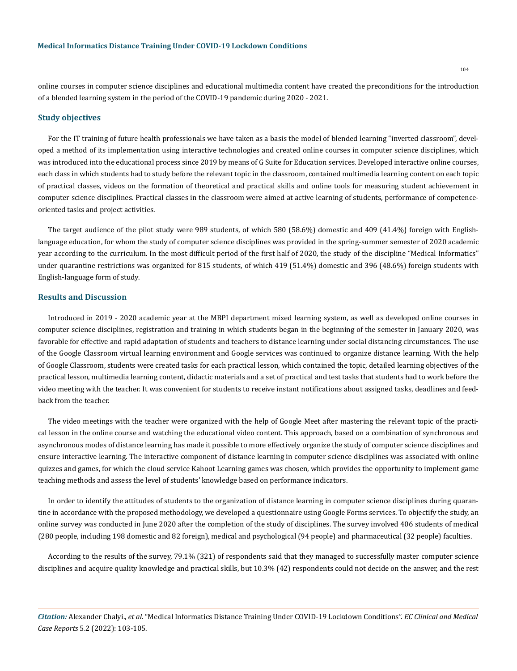online courses in computer science disciplines and educational multimedia content have created the preconditions for the introduction of a blended learning system in the period of the COVID-19 pandemic during 2020 - 2021.

#### **Study objectives**

For the IT training of future health professionals we have taken as a basis the model of blended learning "inverted classroom", developed a method of its implementation using interactive technologies and created online courses in computer science disciplines, which was introduced into the educational process since 2019 by means of G Suite for Education services. Developed interactive online courses, each class in which students had to study before the relevant topic in the classroom, contained multimedia learning content on each topic of practical classes, videos on the formation of theoretical and practical skills and online tools for measuring student achievement in computer science disciplines. Practical classes in the classroom were aimed at active learning of students, performance of competenceoriented tasks and project activities.

The target audience of the pilot study were 989 students, of which 580 (58.6%) domestic and 409 (41.4%) foreign with Englishlanguage education, for whom the study of computer science disciplines was provided in the spring-summer semester of 2020 academic year according to the curriculum. In the most difficult period of the first half of 2020, the study of the discipline "Medical Informatics" under quarantine restrictions was organized for 815 students, of which 419 (51.4%) domestic and 396 (48.6%) foreign students with English-language form of study.

#### **Results and Discussion**

Introduced in 2019 - 2020 academic year at the MBPI department mixed learning system, as well as developed online courses in computer science disciplines, registration and training in which students began in the beginning of the semester in January 2020, was favorable for effective and rapid adaptation of students and teachers to distance learning under social distancing circumstances. The use of the Google Classroom virtual learning environment and Google services was continued to organize distance learning. With the help of Google Classroom, students were created tasks for each practical lesson, which contained the topic, detailed learning objectives of the practical lesson, multimedia learning content, didactic materials and a set of practical and test tasks that students had to work before the video meeting with the teacher. It was convenient for students to receive instant notifications about assigned tasks, deadlines and feedback from the teacher.

The video meetings with the teacher were organized with the help of Google Meet after mastering the relevant topic of the practical lesson in the online course and watching the educational video content. This approach, based on a combination of synchronous and asynchronous modes of distance learning has made it possible to more effectively organize the study of computer science disciplines and ensure interactive learning. The interactive component of distance learning in computer science disciplines was associated with online quizzes and games, for which the cloud service Kahoot Learning games was chosen, which provides the opportunity to implement game teaching methods and assess the level of students' knowledge based on performance indicators.

In order to identify the attitudes of students to the organization of distance learning in computer science disciplines during quarantine in accordance with the proposed methodology, we developed a questionnaire using Google Forms services. To objectify the study, an online survey was conducted in June 2020 after the completion of the study of disciplines. The survey involved 406 students of medical (280 people, including 198 domestic and 82 foreign), medical and psychological (94 people) and pharmaceutical (32 people) faculties.

According to the results of the survey, 79.1% (321) of respondents said that they managed to successfully master computer science disciplines and acquire quality knowledge and practical skills, but 10.3% (42) respondents could not decide on the answer, and the rest

*Citation:* Alexander Chalyi., *et al*. "Medical Informatics Distance Training Under COVID-19 Lockdown Conditions". *EC Clinical and Medical Case Reports* 5.2 (2022): 103-105.

104